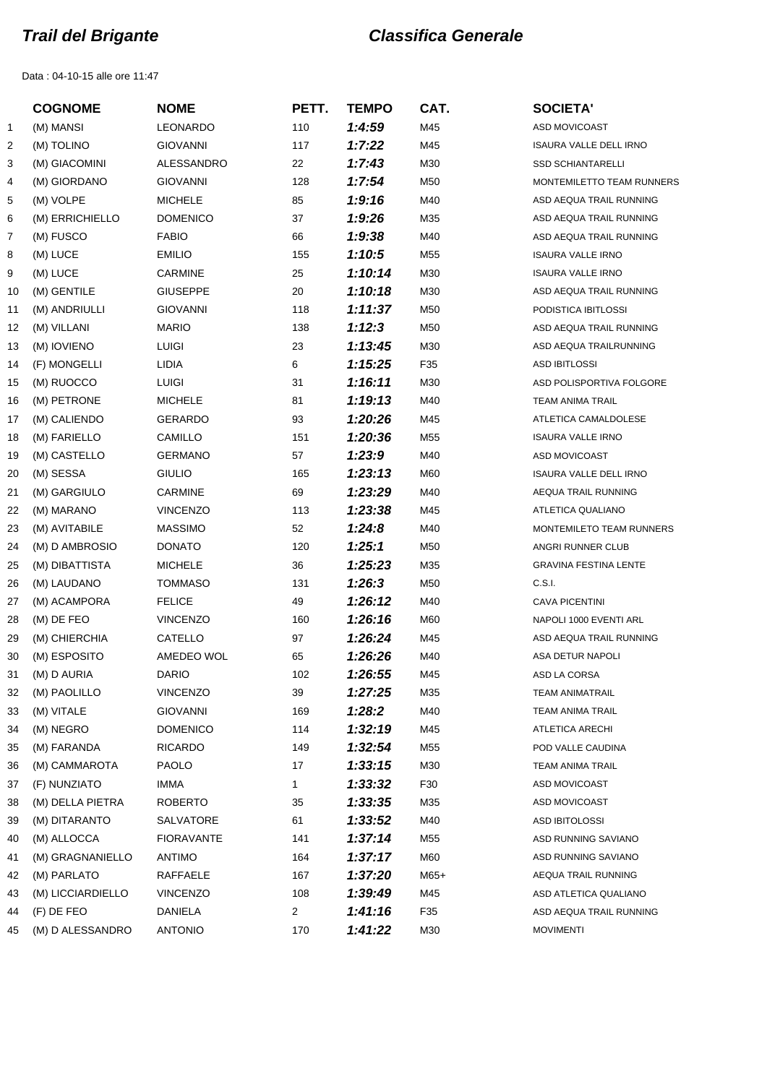## **Trail del Brigante Classifica Generale**

Data : 04-10-15 alle ore 11:47

|    | <b>COGNOME</b>    | <b>NOME</b>     | PETT.          | <b>TEMPO</b> | CAT. | <b>SOCIETA'</b>               |
|----|-------------------|-----------------|----------------|--------------|------|-------------------------------|
| 1  | (M) MANSI         | LEONARDO        | 110            | 1:4:59       | M45  | ASD MOVICOAST                 |
| 2  | (M) TOLINO        | <b>GIOVANNI</b> | 117            | 1:7:22       | M45  | <b>ISAURA VALLE DELL IRNO</b> |
| 3  | (M) GIACOMINI     | ALESSANDRO      | 22             | 1:7:43       | M30  | <b>SSD SCHIANTARELLI</b>      |
| 4  | (M) GIORDANO      | <b>GIOVANNI</b> | 128            | 1:7:54       | M50  | MONTEMILETTO TEAM RUNNERS     |
| 5  | (M) VOLPE         | <b>MICHELE</b>  | 85             | 1:9:16       | M40  | ASD AEQUA TRAIL RUNNING       |
| 6  | (M) ERRICHIELLO   | <b>DOMENICO</b> | 37             | 1:9:26       | M35  | ASD AEQUA TRAIL RUNNING       |
| 7  | (M) FUSCO         | <b>FABIO</b>    | 66             | 1:9:38       | M40  | ASD AEQUA TRAIL RUNNING       |
| 8  | (M) LUCE          | <b>EMILIO</b>   | 155            | 1:10:5       | M55  | <b>ISAURA VALLE IRNO</b>      |
| 9  | (M) LUCE          | CARMINE         | 25             | 1:10:14      | M30  | <b>ISAURA VALLE IRNO</b>      |
| 10 | (M) GENTILE       | GIUSEPPE        | 20             | 1:10:18      | M30  | ASD AEQUA TRAIL RUNNING       |
| 11 | (M) ANDRIULLI     | <b>GIOVANNI</b> | 118            | 1:11:37      | M50  | PODISTICA IBITLOSSI           |
| 12 | (M) VILLANI       | <b>MARIO</b>    | 138            | 1:12:3       | M50  | ASD AEQUA TRAIL RUNNING       |
| 13 | (M) IOVIENO       | <b>LUIGI</b>    | 23             | 1:13:45      | M30  | ASD AEQUA TRAILRUNNING        |
| 14 | (F) MONGELLI      | LIDIA           | 6              | 1:15:25      | F35  | <b>ASD IBITLOSSI</b>          |
| 15 | (M) RUOCCO        | <b>LUIGI</b>    | 31             | 1:16:11      | M30  | ASD POLISPORTIVA FOLGORE      |
| 16 | (M) PETRONE       | <b>MICHELE</b>  | 81             | 1:19:13      | M40  | TEAM ANIMA TRAIL              |
| 17 | (M) CALIENDO      | <b>GERARDO</b>  | 93             | 1:20:26      | M45  | ATLETICA CAMALDOLESE          |
| 18 | (M) FARIELLO      | CAMILLO         | 151            | 1:20:36      | M55  | <b>ISAURA VALLE IRNO</b>      |
| 19 | (M) CASTELLO      | <b>GERMANO</b>  | 57             | 1:23:9       | M40  | ASD MOVICOAST                 |
| 20 | (M) SESSA         | <b>GIULIO</b>   | 165            | 1:23:13      | M60  | <b>ISAURA VALLE DELL IRNO</b> |
| 21 | (M) GARGIULO      | CARMINE         | 69             | 1:23:29      | M40  | AEQUA TRAIL RUNNING           |
| 22 | (M) MARANO        | <b>VINCENZO</b> | 113            | 1:23:38      | M45  | ATLETICA QUALIANO             |
| 23 | (M) AVITABILE     | <b>MASSIMO</b>  | 52             | 1:24:8       | M40  | MONTEMILETO TEAM RUNNERS      |
| 24 | (M) D AMBROSIO    | <b>DONATO</b>   | 120            | 1:25:1       | M50  | ANGRI RUNNER CLUB             |
| 25 | (M) DIBATTISTA    | <b>MICHELE</b>  | 36             | 1:25:23      | M35  | <b>GRAVINA FESTINA LENTE</b>  |
| 26 | (M) LAUDANO       | TOMMASO         | 131            | 1:26:3       | M50  | C.S.I.                        |
| 27 | (M) ACAMPORA      | <b>FELICE</b>   | 49             | 1:26:12      | M40  | <b>CAVA PICENTINI</b>         |
| 28 | (M) DE FEO        | VINCENZO        | 160            | 1:26:16      | M60  | NAPOLI 1000 EVENTI ARL        |
| 29 | (M) CHIERCHIA     | CATELLO         | 97             | 1:26:24      | M45  | ASD AEQUA TRAIL RUNNING       |
| 30 | (M) ESPOSITO      | AMEDEO WOL      | 65             | 1:26:26      | M40  | ASA DETUR NAPOLI              |
| 31 | (M) D AURIA       | DARIO           | 102            | 1:26:55      | M45  | ASD LA CORSA                  |
| 32 | (M) PAOLILLO      | VINCENZO        | 39             | 1:27:25      | M35  | <b>TEAM ANIMATRAIL</b>        |
| 33 | (M) VITALE        | <b>GIOVANNI</b> | 169            | 1:28:2       | M40  | TEAM ANIMA TRAIL              |
| 34 | (M) NEGRO         | DOMENICO        | 114            | 1:32:19      | M45  | ATLETICA ARECHI               |
| 35 | (M) FARANDA       | RICARDO         | 149            | 1:32:54      | M55  | POD VALLE CAUDINA             |
| 36 | (M) CAMMAROTA     | PAOLO           | 17             | 1:33:15      | M30  | TEAM ANIMA TRAIL              |
| 37 | (F) NUNZIATO      | IMMA            | 1              | 1:33:32      | F30  | ASD MOVICOAST                 |
| 38 | (M) DELLA PIETRA  | ROBERTO         | 35             | 1:33:35      | M35  | ASD MOVICOAST                 |
| 39 | (M) DITARANTO     | SALVATORE       | 61             | 1:33:52      | M40  | ASD IBITOLOSSI                |
| 40 | (M) ALLOCCA       | FIORAVANTE      | 141            | 1:37:14      | M55  | ASD RUNNING SAVIANO           |
| 41 | (M) GRAGNANIELLO  | ANTIMO          | 164            | 1:37:17      | M60  | ASD RUNNING SAVIANO           |
| 42 | (M) PARLATO       | RAFFAELE        | 167            | 1:37:20      | M65+ | AEQUA TRAIL RUNNING           |
| 43 | (M) LICCIARDIELLO | VINCENZO        | 108            | 1:39:49      | M45  | ASD ATLETICA QUALIANO         |
| 44 | (F) DE FEO        | DANIELA         | $\overline{c}$ | 1:41:16      | F35  | ASD AEQUA TRAIL RUNNING       |
| 45 | (M) D ALESSANDRO  | <b>ANTONIO</b>  | 170            | 1:41:22      | M30  | <b>MOVIMENTI</b>              |
|    |                   |                 |                |              |      |                               |